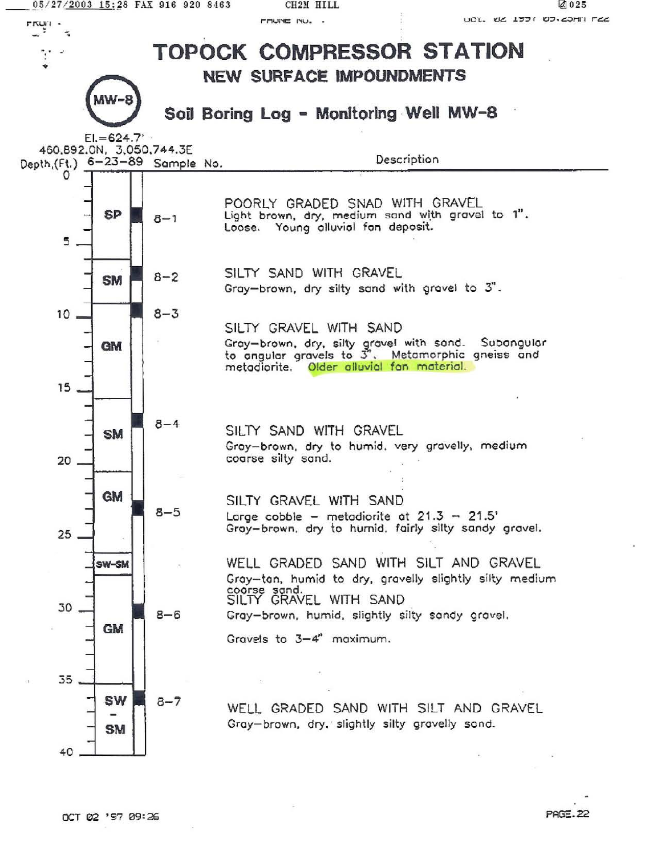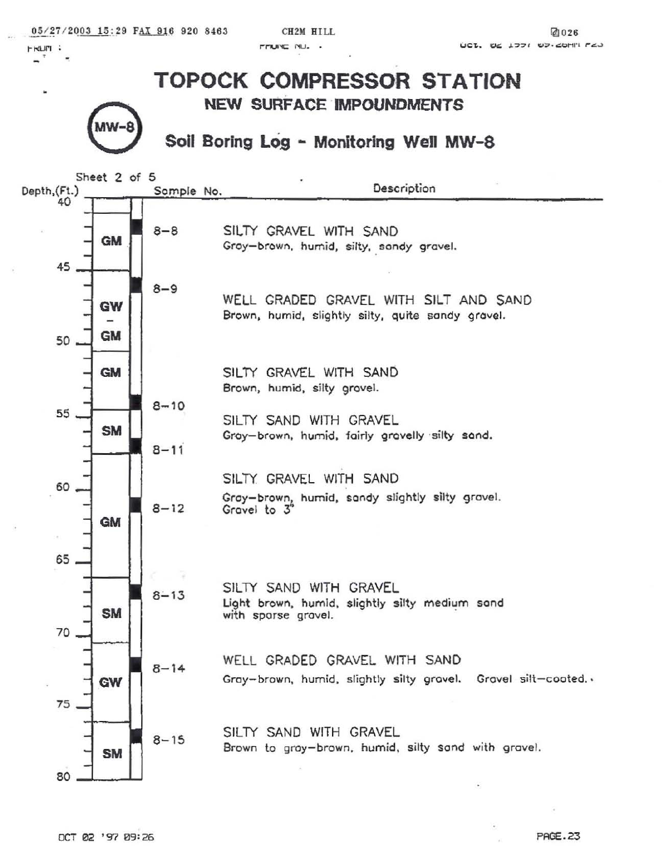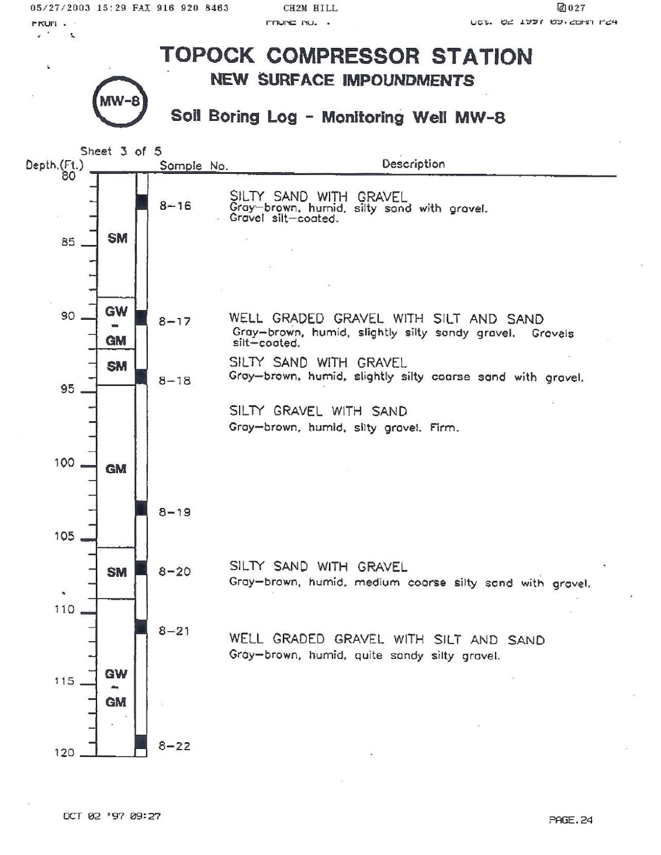05/27/2003 15:29 FAX 916 920 8463

**FRUIT .** 

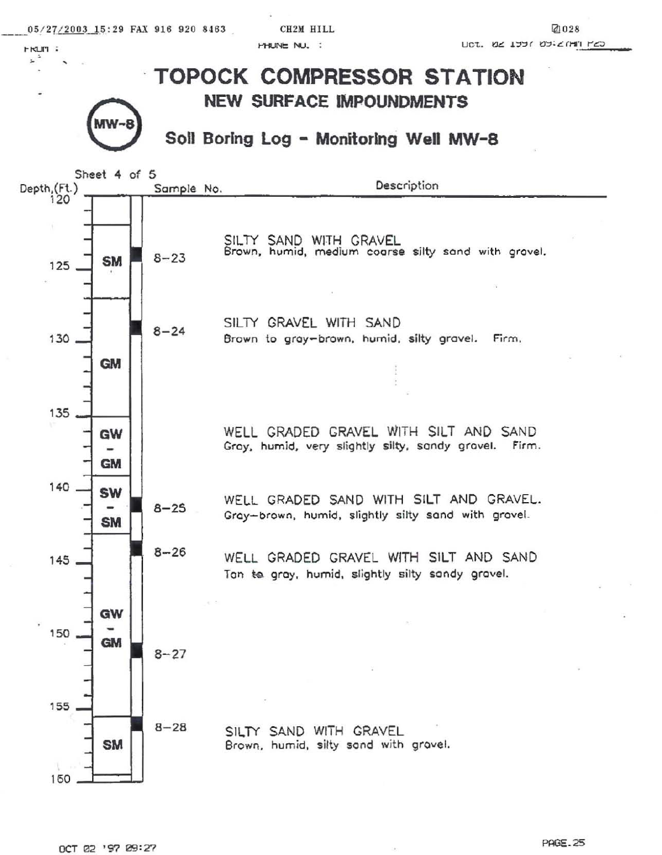